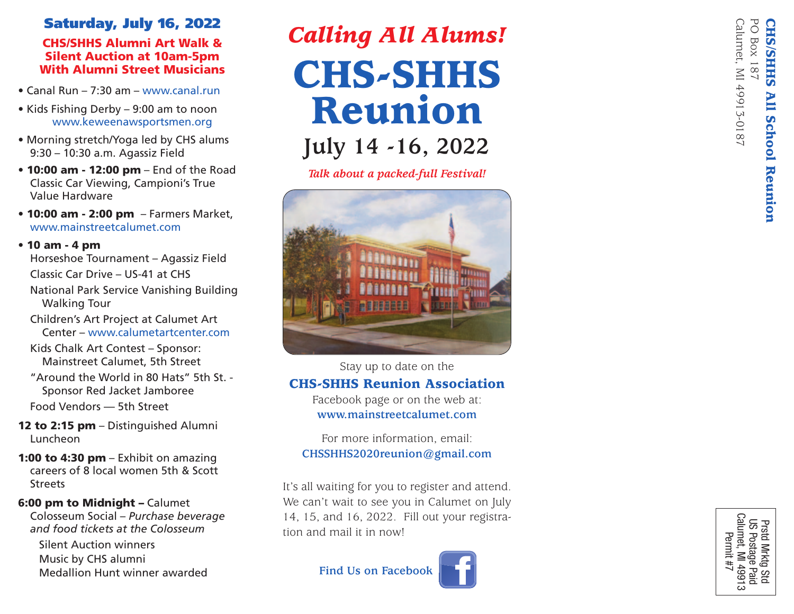#### **Saturday, July 16, 2022 CHS/SHHS Alumni Art Walk & Silent Auction at 10am-5pm With Alumni Street Musicians**

- Canal Run 7:30 am www.canal.run
- Kids Fishing Derby 9:00 am to noon www.keweenawsportsmen.org
- Morning stretch/Yoga led by CHS alums 9:30 – 10:30 a.m. Agassiz Field
- **10:00 am 12:00 pm** End of the Road Classic Car Viewing, Campioni's True Value Hardware
- **10:00 am 2:00 pm**  Farmers Market, www.mainstreetcalumet.com

#### **• 10 am - 4 pm**

Horseshoe Tournament – Agassiz Field Classic Car Drive – US-41 at CHS National Park Service Vanishing Building Walking Tour

Children's Art Project at Calumet Art Center – www.calumetartcenter.com

Kids Chalk Art Contest – Sponsor: Mainstreet Calumet, 5th Street

"Around the World in 80 Hats" 5th St. - Sponsor Red Jacket Jamboree

Food Vendors — 5th Street

- **12 to 2:15 pm** Distinguished Alumni Luncheon
- **1:00 to 4:30 pm** Exhibit on amazing careers of 8 local women 5th & Scott Streets

#### **6:00 pm to Midnight –** Calumet Colosseum Social – *Purchase beverage and food tickets at the Colosseum* Silent Auction winners Music by CHS alumni Medallion Hunt winner awarded

# *Calling All Alums!* **CHS-SHHS Reunion July 14 -16, 2022**

*Talk about a packed-full Festival!*



# Stay up to date on the **CHS-SHHS Reunion Association**

Facebook page or on the web at: **www.mainstreetcalumet.com**

For more information, email: **CHSSHHS2020reunion@gmail.com**

It's all waiting for you to register and attend. We can't wait to see you in Calumet on July 14, 15, and 16, 2022. Fill out your registra tion and mail it in now!



Calumet, MI 49913<br>Permit #7 Calumet, MI 49913 US Postage Paic US Postage Paid Prstd Mrktg Std Prstd Mrktg Std